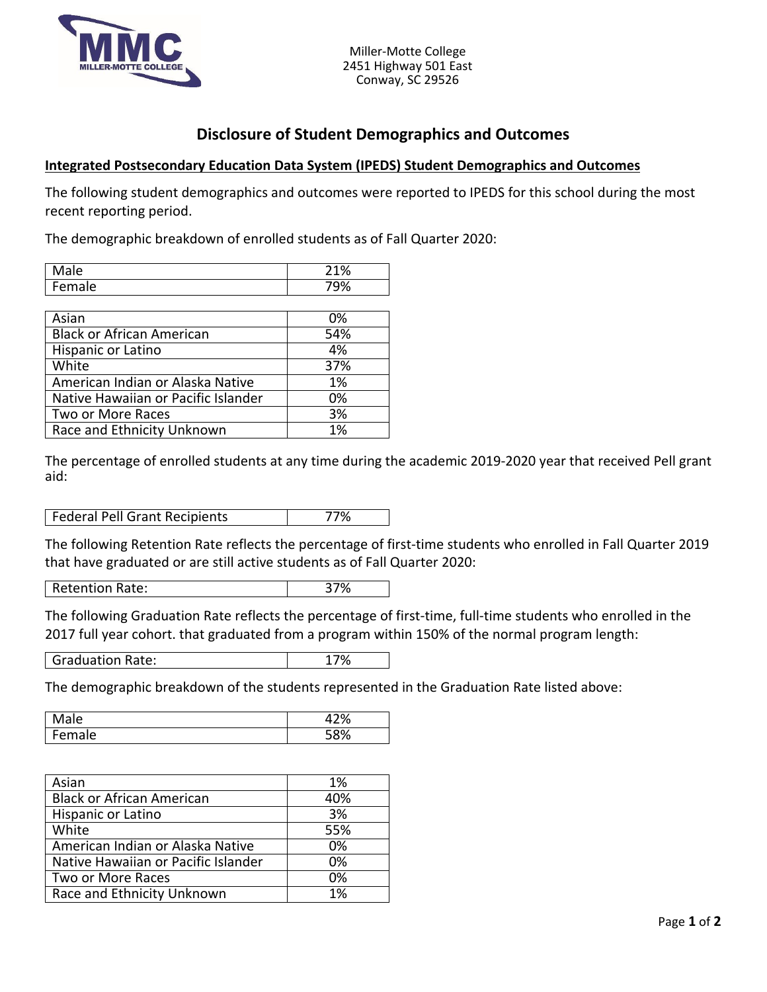

## **Disclosure of Student Demographics and Outcomes**

## **Integrated Postsecondary Education Data System (IPEDS) Student Demographics and Outcomes**

The following student demographics and outcomes were reported to IPEDS for this school during the most recent reporting period.

The demographic breakdown of enrolled students as of Fall Quarter 2020:

| iale. | $\sim$<br>⌒ |
|-------|-------------|
| IΑ    | 70          |

| Asian                               | 0%  |
|-------------------------------------|-----|
| <b>Black or African American</b>    | 54% |
| Hispanic or Latino                  | 4%  |
| White                               | 37% |
| American Indian or Alaska Native    | 1%  |
| Native Hawaiian or Pacific Islander | 0%  |
| Two or More Races                   | 3%  |
| Race and Ethnicity Unknown          | 1%  |

The percentage of enrolled students at any time during the academic 2019-2020 year that received Pell grant aid:

Federal Pell Grant Recipients 177%

The following Retention Rate reflects the percentage of first-time students who enrolled in Fall Quarter 2019 that have graduated or are still active students as of Fall Quarter 2020:

Retention Rate: 37%

The following Graduation Rate reflects the percentage of first-time, full-time students who enrolled in the 2017 full year cohort. that graduated from a program within 150% of the normal program length:

Graduation Rate: 17%

The demographic breakdown of the students represented in the Graduation Rate listed above:

| ale           | $\sim$<br>′Ο |
|---------------|--------------|
| -<br>ale<br>. | <b>-001</b>  |

| Asian                               | 1%  |
|-------------------------------------|-----|
| <b>Black or African American</b>    | 40% |
| Hispanic or Latino                  | 3%  |
| White                               | 55% |
| American Indian or Alaska Native    | 0%  |
| Native Hawaiian or Pacific Islander | 0%  |
| Two or More Races                   | 0%  |
| Race and Ethnicity Unknown          | 1%  |